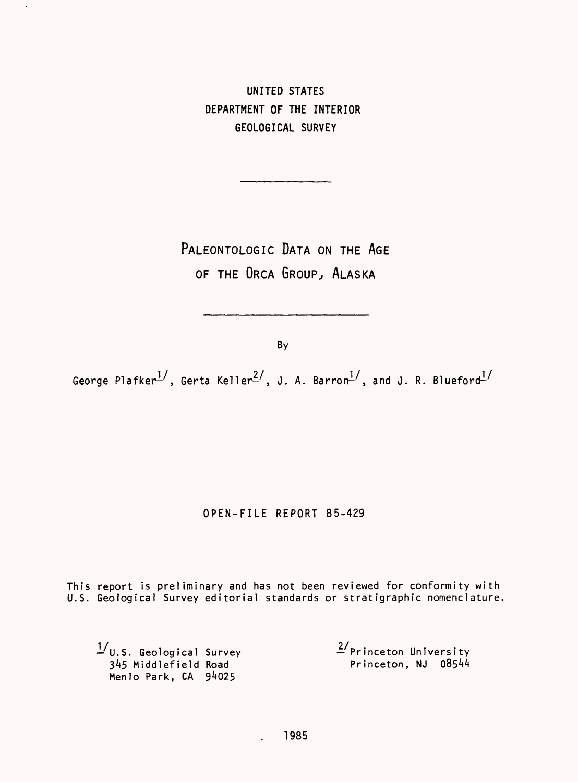UNITED STATES DEPARTMENT OF THE INTERIOR GEOLOGICAL SURVEY

PALEONTOLOGIC DATA ON THE AGE OF THE ORCA GROUP, ALASKA

By

George Plafker<sup>1</sup>, Gerta Keller<sup>2</sup>, J. A. Barron<sup>1</sup>, and J. R. Blueford<sup>1/</sup>

# OPEN-FILE REPORT 85-429

This report is preliminary and has not been reviewed for conformity with U.S. Geological Survey editorial standards or stratigraphic nomenclature,

1/U.S. Geological Survey 2/Princeton University and the contract of the contract of the contract of the contract of the contract of the contract of the contract of the contract of the contract of the contract of the contract of the contract of the contract of the contra Menlo Park, CA 94025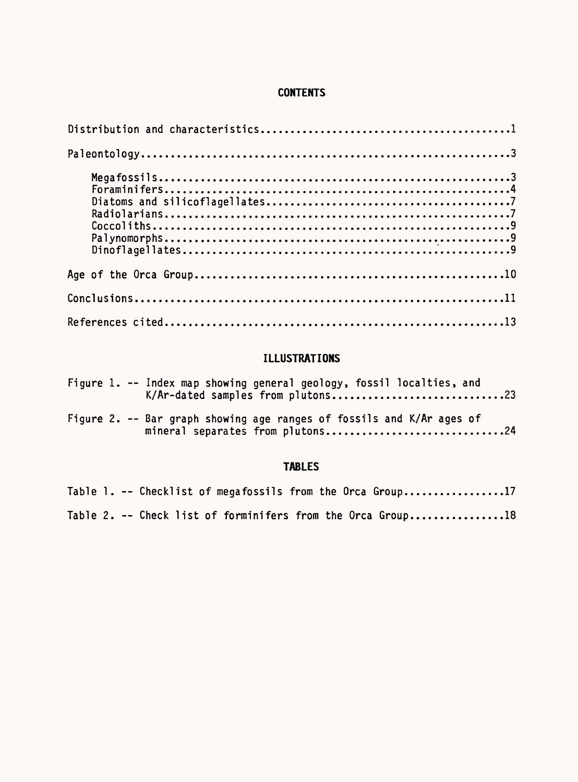# **CONTENTS**

# **ILLUSTRATIONS**

|  | Figure 1. -- Index map showing general geology, fossil localties, and<br>K/Ar-dated samples from plutons23 |
|--|------------------------------------------------------------------------------------------------------------|
|  | Figure 2. -- Bar graph showing age ranges of fossils and K/Ar ages of<br>mineral separates from plutons24  |

# **TABLES**

|  |  |  |  |  | Table 1. -- Checklist of megafossils from the Orca Group17  |
|--|--|--|--|--|-------------------------------------------------------------|
|  |  |  |  |  | Table 2. -- Check list of forminifers from the Orca Group18 |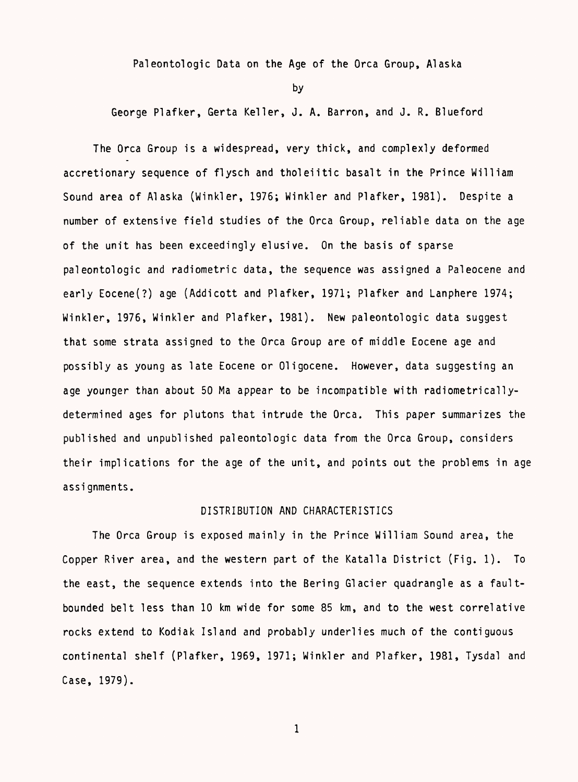Paleontologic Data on the Age of the Orca Group, Alaska

by

George Plafker, Gerta Keller, J. A. Barren, and J. R. Blueford

The Orca Group is a widespread, very thick, and complexly deformed accretionary sequence of flysch and tholeiitic basalt in the Prince William Sound area of Alaska (Winkler, 1976; Winkler and Plafker, 1981). Despite a number of extensive field studies of the Orca Group, reliable data on the age of the unit has been exceedingly elusive. On the basis of sparse paleontologic and radiometric data, the sequence was assigned a Paleocene and early Eocene(?) age (Addicott and Plafker, 1971; Plafker and Lanphere 1974; Winkler, 1976, Winkler and Plafker, 1981). New paleontologic data suggest that some strata assigned to the Orca Group are of middle Eocene age and possibly as young as late Eocene or Oligocene. However, data suggesting an age younger than about 50 Ma appear to be incompatible with radiometricallydetermined ages for plutons that intrude the Orca. This paper summarizes the published and unpublished paleontologic data from the Orca Group, considers their implications for the age of the unit, and points out the problems in age assi gnments.

## DISTRIBUTION AND CHARACTERISTICS

The Orca Group is exposed mainly in the Prince William Sound area, the Copper River area, and the western part of the Katalla District (Fig. 1). To the east, the sequence extends into the Bering Glacier quadrangle as a faultbounded belt less than 10 km wide for some 85 km, and to the west correlative rocks extend to Kodiak Island and probably underlies much of the contiguous continental shelf (Plafker, 1969, 1971; Winkler and Plafker, 1981, Tysdal and Case, 1979).

 $\mathbf{1}$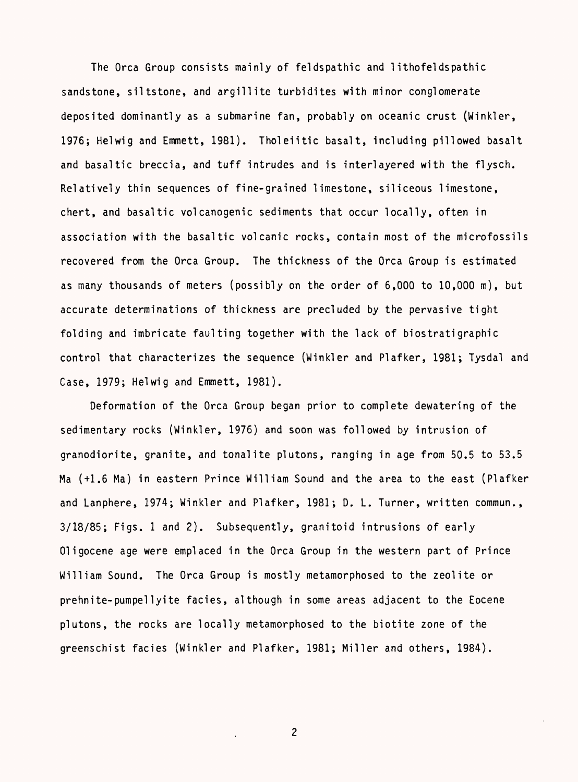The Orca Group consists mainly of feldspathic and 1ithofeldspathic sandstone, siltstone, and argillite turbidites with minor conglomerate deposited dominantly as a submarine fan, probably on oceanic crust (Winkler, 1976; Helwig and Emmett, 1981). Tholeiitic basalt, including pillowed basalt and basaltic breccia, and tuff intrudes and is interlayered with the flysch. Relatively thin sequences of fine-grained limestone, siliceous limestone, chert, and basaltic volcanogenic sediments that occur locally, often in association with the basaltic volcanic rocks, contain most of the microfossils recovered from the Orca Group. The thickness of the Orca Group is estimated as many thousands of meters (possibly on the order of 6,000 to 10,000 m), but accurate determinations of thickness are precluded by the pervasive tight folding and imbricate faulting together with the lack of biostratigraphic control that characterizes the sequence (Winkler and Plafker, 1981; Tysdal and Case, 1979; Helwig and Emmett, 1981).

Deformation of the Orca Group began prior to complete dewatering of the sedimentary rocks (Winkler, 1976) and soon was followed by intrusion of granodiorite, granite, and tonalite plutons, ranging in age from 50.5 to 53.5 Ma (+1.6 Ma) in eastern Prince William Sound and the area to the east (Plafker and Lanphere, 1974; Winkler and Plafker, 1981; D. L. Turner, written commun., 3/18/85; Figs. 1 and 2). Subsequently, granitoid intrusions of early Oligocene age were emplaced in the Orca Group in the western part of Prince William Sound. The Orca Group is mostly metamorphosed to the zeolite or prehnite-pumpellyite facies, although in some areas adjacent to the Eocene plutons, the rocks are locally metamorphosed to the biotite zone of the greenschist facies (Winkler and Plafker, 1981; Miller and others, 1984).

 $\overline{c}$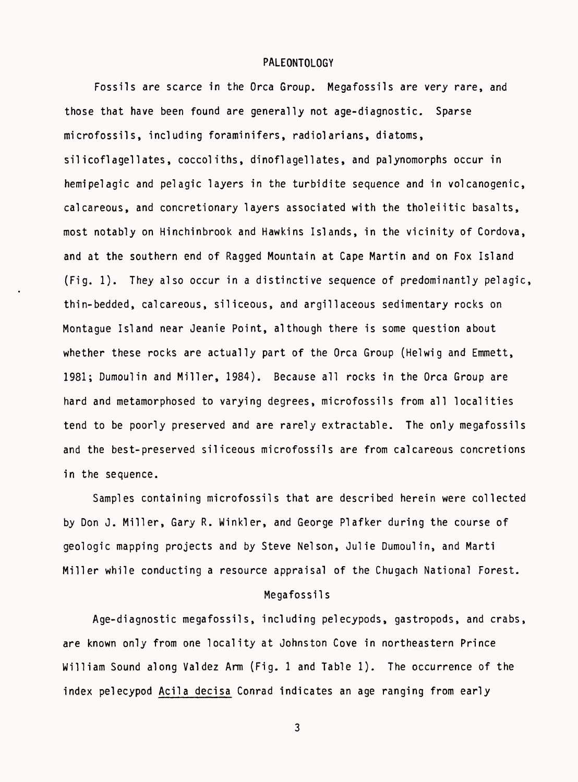#### PALEONTOLOGY

Fossils are scarce in the Orca Group. Megafossils are very rare, and those that have been found are generally not age-diagnostic. Sparse microfossils, including foraminifers, radiolarians, diatoms, silicoflagellates, coccoliths, dinoflagellates, and palynomorphs occur in hemipelagic and pelagic layers in the turbidite sequence and in volcanogenic, calcareous, and concretionary layers associated with the tholeiitic basalts, most notably on Hinchinbrook and Hawkins Islands, in the vicinity of Cordova, and at the southern end of Ragged Mountain at Cape Martin and on Fox Island (Fig. 1). They also occur in a distinctive sequence of predominantly pelagic, thin-bedded, calcareous, siliceous, and argillaceous sedimentary rocks on Montague Island near Jeanie Point, although there is some question about whether these rocks are actually part of the Orca Group (Helwig and Emmett, 1981; Dumoulin and Miller, 1984). Because all rocks in the Orca Group are hard and metamorphosed to varying degrees, microfossils from all localities tend to be poorly preserved and are rarely extractable. The only megafossils and the best-preserved siliceous microfossils are from calcareous concretions in the sequence.

Samples containing microfossils that are described herein were collected by Don J. Miller, Gary R. Winkler, and George Plafker during the course of geologic mapping projects and by Steve Nelson, Julie Dumoulin, and Marti Miller while conducting a resource appraisal of the Chugach National Forest.

#### Megafossils

Age-diagnostic megafossils, including pelecypods, gastropods, and crabs, are known only from one locality at Johnston Cove in northeastern Prince William Sound along Valdez Arm (Fig. 1 and Table 1). The occurrence of the index pelecypod Acila decisa Conrad indicates an age ranging from early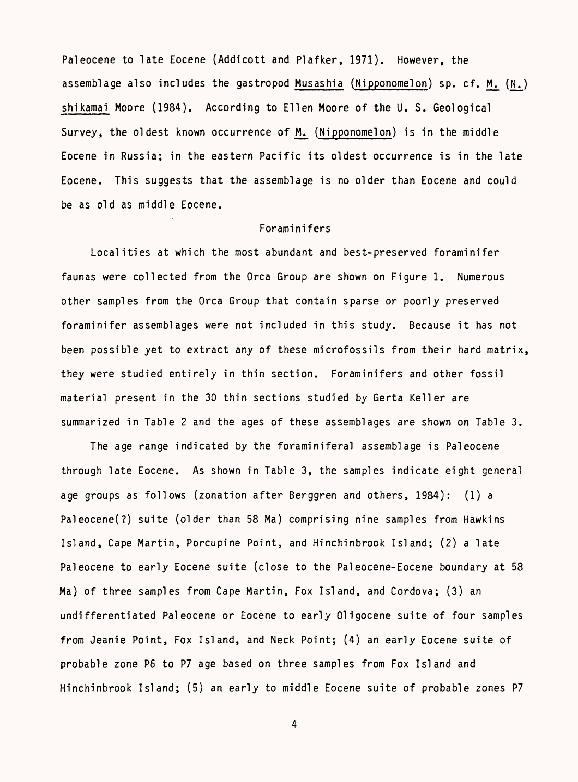Pal eocene to late Eocene (Addicott and Plafker, 1971). However, the assemblage also includes the gastropod Musashia (Nipponomelon) sp. cf. M. (N.) shikamai Moore (1984). According to Ellen Moore of the U. S. Geological Survey, the oldest known occurrence of M. (Nipponomelon) is in the middle Eocene in Russia; in the eastern Pacific its oldest occurrence is in the late Eocene. This suggests that the assemblage is no older than Eocene and could be as old as middle Eocene.

## Foraminifers

Localities at which the most abundant and best-preserved foraminifer faunas were collected from the Orca Group are shown on Figure 1. Numerous other samples from the Orca Group that contain sparse or poorly preserved foraminifer assemblages were not included in this study. Because it has not been possible yet to extract any of these microfossils from their hard matrix, they were studied entirely in thin section. Foraminifers and other fossil material present in the 30 thin sections studied by Gerta Keller are summarized in Table 2 and the ages of these assemblages are shown on Table 3.

The age range indicated by the foraminiferal assemblage is Pal eocene through late Eocene. As shown in Table 3, the samples indicate eight general age groups as follows (zonation after Berggren and others, 1984): (1) a Paleocene(?) suite (older than 58 Ma) comprising nine samples from Hawkins Island, Cape Martin, Porcupine Point, and Hinchinbrook Island; (2) a late Pal eocene to early Eocene suite (close to the Pal eocene-Eocene boundary at 58 Ma) of three samples from Cape Martin, Fox Island, and Cordova; (3) an undifferentiated Paleocene or Eocene to early Oligocene suite of four samples from Jeanie Point, Fox Island, and Neck Point; (4) an early Eocene suite of probable zone P6 to P7 age based on three samples from Fox Island and Hinchinbrook Island; (5) an early to middle Eocene suite of probable zones P7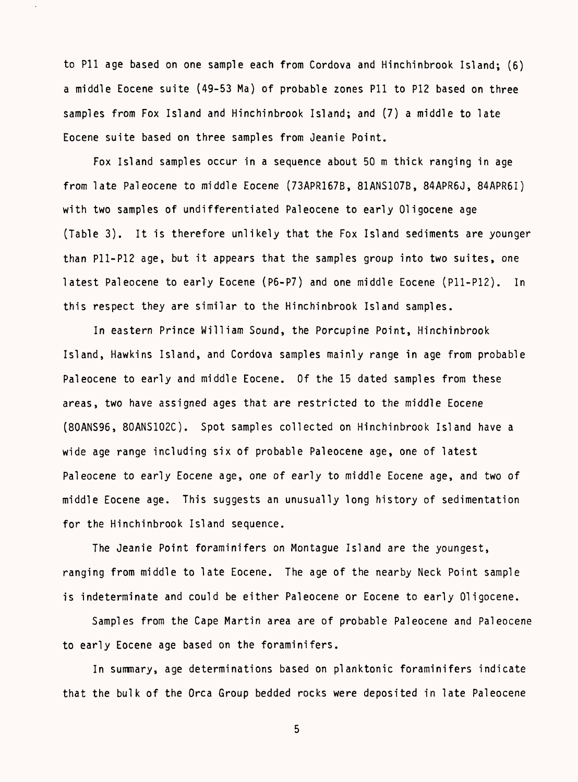to Pll age based on one sample each from Cordova and Hinchinbrook Island; (6) a middle Eocene suite (49-53 Ma) of probable zones Pll to P12 based on three samples from Fox Island and Hinchinbrook Island; and (7) a middle to late Eocene suite based on three samples from Jeanie Point.

Fox Island samples occur in a sequence about 50 m thick ranging in age from late Pal eocene to middle Eocene (73APR167B, 81ANS107B, 84APR6J, 84APR6I) with two samples of undifferentiated Paleocene to early Oligocene age (Table 3). It is therefore unlikely that the Fox Island sediments are younger than P11-P12 age, but it appears that the samples group into two suites, one latest Paleocene to early Eocene (P6-P7) and one middle Eocene (P11-P12). In this respect they are similar to the Hinchinbrook Island samples.

In eastern Prince William Sound, the Porcupine Point, Hinchinbrook Island, Hawkins Island, and Cordova samples mainly range in age from probable Paleocene to early and middle Eocene. Of the 15 dated samples from these areas, two have assigned ages that are restricted to the middle Eocene (80ANS96, 80ANS102C). Spot samples collected on Hinchinbrook Island have a wide age range including six of probable Paleocene age, one of latest Paleocene to early Eocene age, one of early to middle Eocene age, and two of middle Eocene age. This suggests an unusually long history of sedimentation for the Hinchinbrook Island sequence.

The Jeanie Point foraminifers on Montague Island are the youngest, ranging from middle to late Eocene. The age of the nearby Neck Point sample is indeterminate and could be either Paleocene or Eocene to early Oligocene.

Samples from the Cape Martin area are of probable Paleocene and Paleocene to early Eocene age based on the foraminifers.

In summary, age determinations based on planktonic foraminifers indicate that the bulk of the Orca Group bedded rocks were deposited in late Paleocene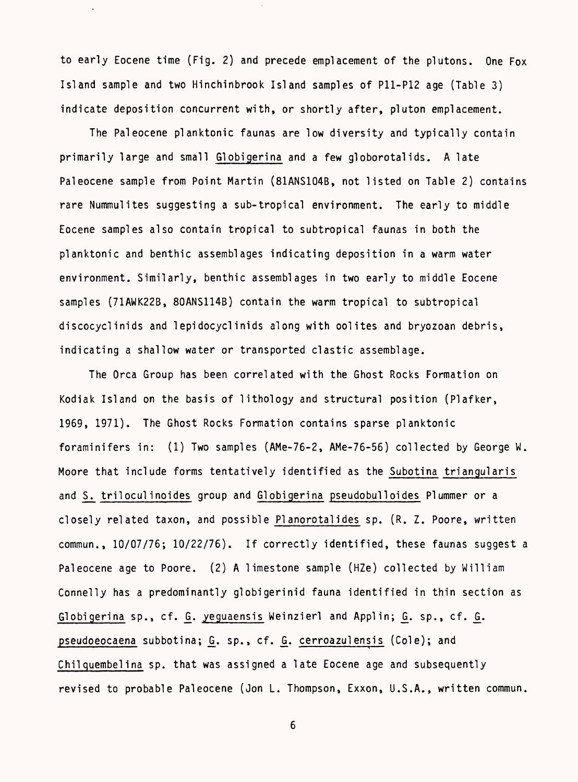to early Eocene time (Fig. 2) and precede emplacement of the plutons. One Fox Island sample and two Hinchinbrook Island samples of P11-P12 age (Table 3) indicate deposition concurrent with, or shortly after, pluton emplacement.

The Pal eocene planktonic faunas are low diversity and typically contain primarily large and small Globigerina and a few globorotalids. A late Paleocene sample from Point Martin (81ANS104B, not listed on Table 2) contains rare Nummulites suggesting a sub-tropical environment. The early to middle Eocene samples also contain tropical to subtropical faunas in both the planktonic and benthic assemblages indicating deposition in a warm water environment. Similarly, benthic assemblages in two early to middle Eocene samples (71AWK22B, 80ANS114B) contain the warm tropical to subtropical discocyclinids and lepidocyclinids along with oolites and bryozoan debris, indicating a shallow water or transported clastic assemblage.

The Orca Group has been correlated with the Ghost Rocks Formation on Kodiak Island on the basis of lithology and structural position (Plafker, 1969, 1971). The Ghost Rocks Formation contains sparse planktonic foraminifers in: (1) Two samples (AMe-76-2, AMe-76-56) collected by George W. Moore that include forms tentatively identified as the Subotina triangularis and S. triloculinoides group and Globigerina pseudobulloides Plummer or a closely related taxon, and possible PIanorotalides sp. (R. Z. Poore, written commun., 10/07/76; 10/22/76). If correctly identified, these faunas suggest a Paleocene age to Poore. (2) A limestone sample (HZe) collected by William Connelly has a predominantly globigerinid fauna identified in thin section as Globigerina sp., cf. G. yeguaensis Weinzierl and Applin; G. sp., cf. G. pseudoeocaena subbotina; G. sp., cf. G. cerroazulensis (Cole); and Chilquembelina sp. that was assigned a late Eocene age and subsequently revised to probable Paleocene (Jon L. Thompson, Exxon, U.S.A., written commun.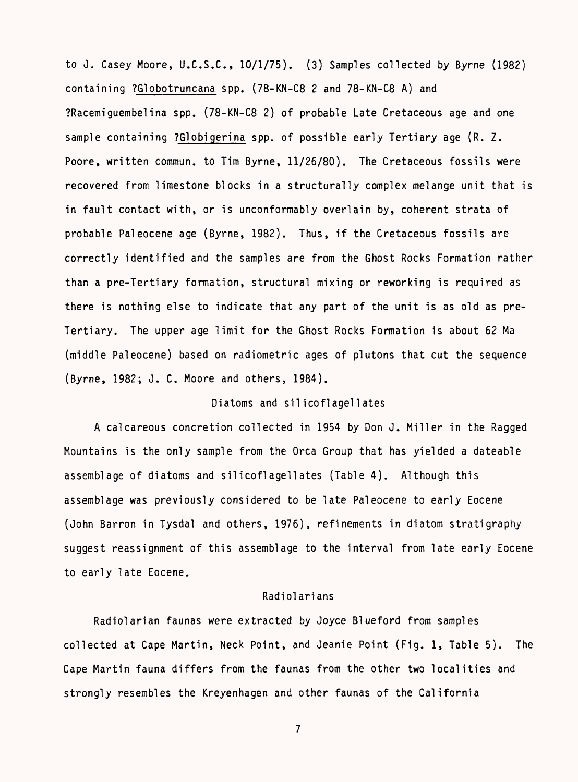to J. Casey Moore, U.C.S.C., 10/1/75). (3) Samples collected by Byrne (1982) containing ?Globotruncana spp. (78-KN-C8 2 and 78-KN-C8 A) and ?Racemiguembelina spp. (78-KN-C8 2) of probable Late Cretaceous age and one sample containing ?Globigerina spp. of possible early Tertiary age (R. Z. Poore, written commun. to Tim Byrne, 11/26/80). The Cretaceous fossils were recovered from limestone blocks in a structurally complex melange unit that is in fault contact with, or is unconformably overlain by, coherent strata of probable Paleocene age (Byrne, 1982). Thus, if the Cretaceous fossils are correctly identified and the samples are from the Ghost Rocks Formation rather than a pre-Tertiary formation, structural mixing or reworking is required as there is nothing else to indicate that any part of the unit is as old as pre-Tertiary. The upper age limit for the Ghost Rocks Formation is about 62 Ma (middle Paleocene) based on radiometric ages of plutons that cut the sequence (Byrne, 1982; J. C. Moore and others, 1984).

## Diatoms and silicoflagellates

A calcareous concretion collected in 1954 by Don J. Miller in the Ragged Mountains is the only sample from the Orca Group that has yielded a dateable assemblage of diatoms and silicoflagellates (Table 4). Although this assemblage was previously considered to be late Paleocene to early Eocene (John Barron in Tysdal and others, 1976), refinements in diatom stratigraphy suggest reassignment of this assemblage to the interval from late early Eocene to early late Eocene.

## Radiolarians

Radiolarian faunas were extracted by Joyce Blueford from samples collected at Cape Martin, Neck Point, and Jeanie Point (Fig. 1, Table 5). The Cape Martin fauna differs from the faunas from the other two localities and strongly resembles the Kreyenhagen and other faunas of the California

 $\overline{7}$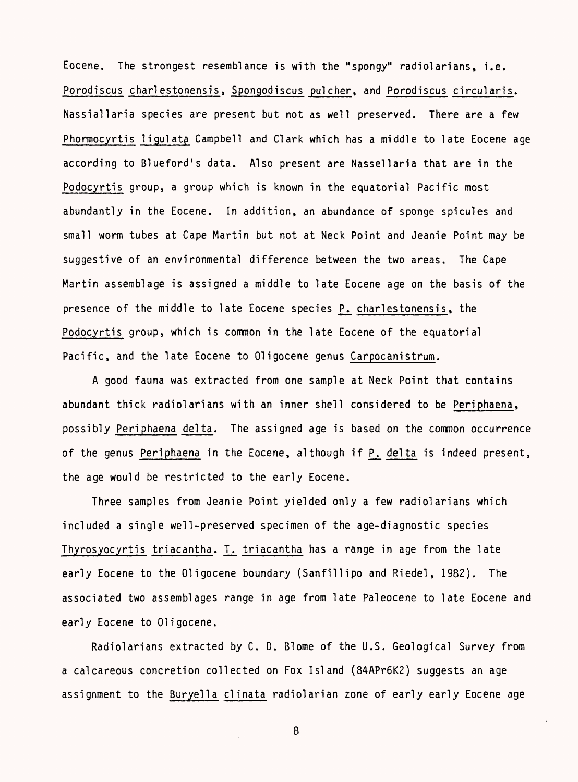Eocene. The strongest resemblance is with the "spongy" radiolarians, i.e. Porodiscus charlestonensis, Spongodiscus pulcher, and Porodiscus circularis. Nassiallaria species are present but not as well preserved. There are a few Phormocyrtis ligulata Campbell and Clark which has a middle to late Eocene age according to Blueford's data. Also present are Nassellaria that are in the Podocyrtis group, a group which is known in the equatorial Pacific most abundantly in the Eocene. In addition, an abundance of sponge spicules and small worm tubes at Cape Martin but not at Neck Point and Oeanie Point may be suggestive of an environmental difference between the two areas. The Cape Martin assemblage is assigned a middle to late Eocene age on the basis of the presence of the middle to late Eocene species P. charlestonensis, the Podocyrtis group, which is common in the late Eocene of the equatorial Pacific, and the late Eocene to Oligocene genus Carpocanistrum.

A good fauna was extracted from one sample at Neck Point that contains abundant thick radiolarians with an inner shell considered to be Periphaena, possibly Periphaena delta. The assigned age is based on the common occurrence of the genus Periphaena in the Eocene, although if P. delta is indeed present, the age would be restricted to the early Eocene.

Three samples from Jeanie Point yielded only a few radiolarians which included a single well-preserved specimen of the age-diagnostic species Thyrosyocyrtis triacantha. T. triacantha has a range in age from the late early Eocene to the Oligocene boundary (Sanfillipo and Riedel, 1982). The associated two assemblages range in age from late Paleocene to late Eocene and early Eocene to Oligocene.

Radiolarians extracted by C. D. Blome of the U.S. Geological Survey from a calcareous concretion collected on Fox Island (84APr6K2) suggests an age assignment to the Buryella clinata radiolarian zone of early early Eocene age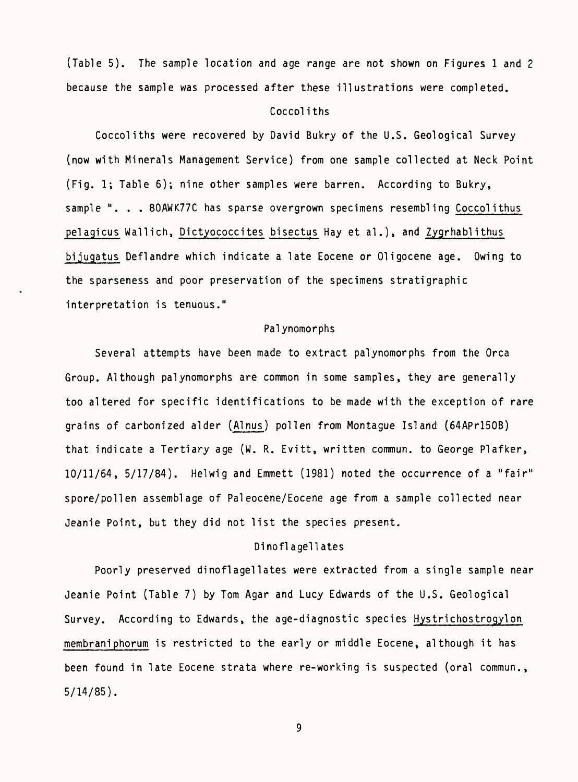(Table 5). The sample location and age range are not shown on Figures 1 and 2 because the sample was processed after these illustrations were completed.

### Coccoliths

Coccoliths were recovered by David Bukry of the U.S. Geological Survey (now with Minerals Management Service) from one sample collected at Neck Point (Fig. 1; Table 6); nine other samples were barren. According to Bukry, sample ". . . 80AWK77C has sparse overgrown specimens resembling Coccolithus pelagicus Wallich, Dictyococcites bisectus Hay et al.), and Zygrhablithus bijugatus Deflandre which indicate a late Eocene or Oligocene age. Owing to the sparseness and poor preservation of the specimens strati graphic interpretation is tenuous."

#### Palynomorphs

Several attempts have been made to extract palynomorphs from the Orca Group. Although palynomorphs are common in some samples, they are generally too altered for specific identifications to be made with the exception of rare grains of carbonized alder (Alnus) pollen from Montague Island (64APrl50B) that indicate a Tertiary age (W. R. Evitt, written commun. to George Plafker, 10/11/64, 5/17/84). Helwig and Emmett (1981) noted the occurrence of a "fair" spore/pollen assemblage of Pal eocene/Eocene age from a sample collected near Jeanie Point, but they did not list the species present.

## Dinofl agell ates

Poorly preserved dinoflagellates were extracted from a single sample near Jeanie Point (Table 7) by Tom Agar and Lucy Edwards of the U.S. Geological Survey. According to Edwards, the age-diagnostic species Hystrichostrogylon membraniphorum is restricted to the early or middle Eocene, although it has been found in late Eocene strata where re-working is suspected (oral commun., 5/14/85).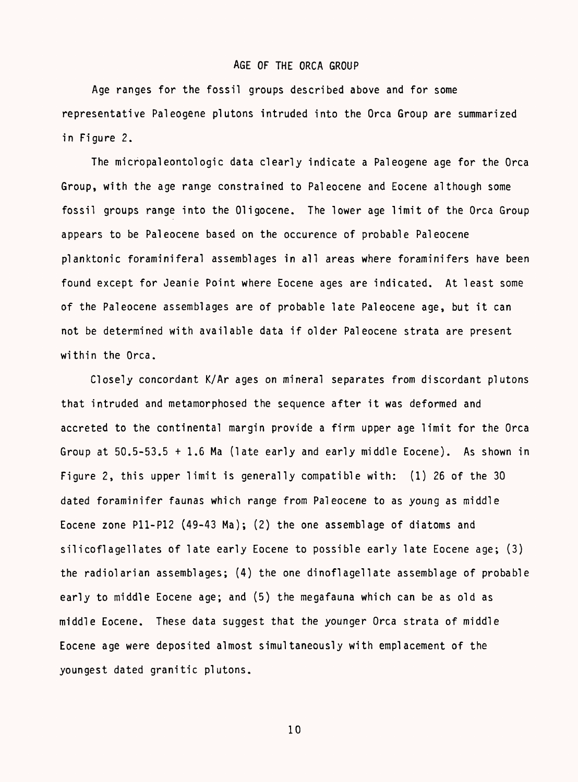#### AGE OF THE ORCA GROUP

Age ranges for the fossil groups described above and for some representative Paleogene plutons intruded into the Orca Group are summarized in Figure 2.

The micropaleontologic data clearly indicate a Paleogene age for the Orca Group, with the age range constrained to Pal eocene and Eocene although some fossil groups range into the Oligocene. The lower age limit of the Orca Group appears to be Pal eocene based on the occurence of probable Pal eocene planktonic foraminiferal assemblages in all areas where foraminifers have been found except for Jeanie Point where Eocene ages are indicated. At least some of the Paleocene assemblages are of probable late Paleocene age, but it can not be determined with available data if older Pal eocene strata are present within the Orca.

Closely concordant K/Ar ages on mineral separates from discordant plutons that intruded and metamorphosed the sequence after it was deformed and accreted to the continental margin provide a firm upper age limit for the Orca Group at 50.5-53.5 + 1.6 Ma (late early and early middle Eocene). As shown in Figure 2, this upper limit is generally compatible with: (1) 26 of the 30 dated foraminifer faunas which range from Pal eocene to as young as middle Eocene zone P11-P12 (49-43 Ma); (2) the one assemblage of diatoms and silicoflagellates of late early Eocene to possible early late Eocene age; (3) the radiolarian assemblages; (4) the one dinoflagellate assemblage of probable early to middle Eocene age; and (5) the megafauna which can be as old as middle Eocene. These data suggest that the younger Orca strata of middle Eocene age were deposited almost simultaneously with emplacement of the youngest dated granitic plutons.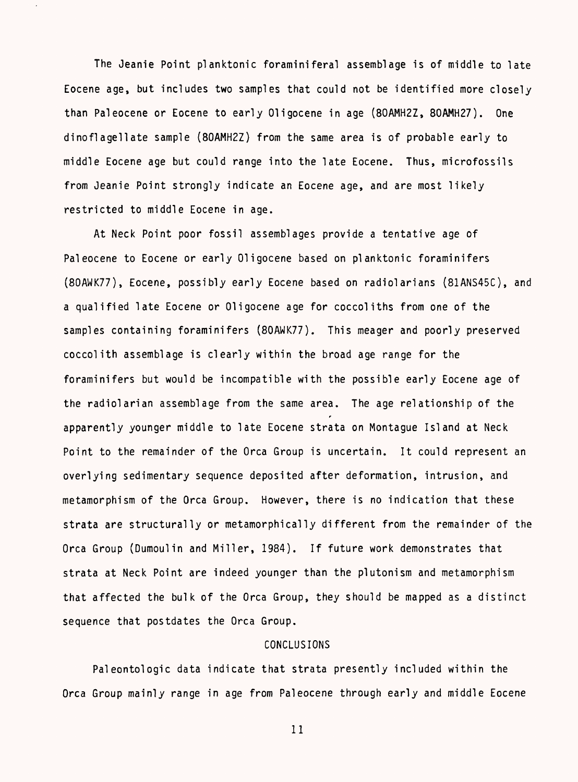The Jeanie Point planktonic foraminiferal assemblage is of middle to late Eocene age, but includes two samples that could not be identified more closely than Pal eocene or Eocene to early Oligocene in age (80AMH2Z, 80AMH27). One dinoflagellate sample (80AMH2Z) from the same area is of probable early to middle Eocene age but could range into the late Eocene. Thus, microfossils from Jeanie Point strongly indicate an Eocene age, and are most likely restricted to middle Eocene in age.

At Neck Point poor fossil assemblages provide a tentative age of Pal eocene to Eocene or early Oligocene based on planktonic foraminifers (80AWK77), Eocene, possibly early Eocene based on radio!arians (81ANS45C), and a qualified late Eocene or Oligocene age for coccoliths from one of the samples containing foraminifers (80AWK77). This meager and poorly preserved coccolith assemblage is clearly within the broad age range for the foraminifers but would be incompatible with the possible early Eocene age of the radiolarian assemblage from the same area. The age relationship of the apparently younger middle to late Eocene strata on Montague Island at Neck Point to the remainder of the Orca Group is uncertain. It could represent an overlying sedimentary sequence deposited after deformation, intrusion, and metamorphism of the Orca Group. However, there is no indication that these strata are structurally or metamorphically different from the remainder of the Orca Group (Dumoulin and Miller, 1984). If future work demonstrates that strata at Neck Point are indeed younger than the plutonism and metamorphism that affected the bulk of the Orca Group, they should be mapped as a distinct sequence that postdates the Orca Group.

#### CONCLUSIONS

Paleontologic data indicate that strata presently included within the Orca Group mainly range in age from Paleocene through early and middle Eocene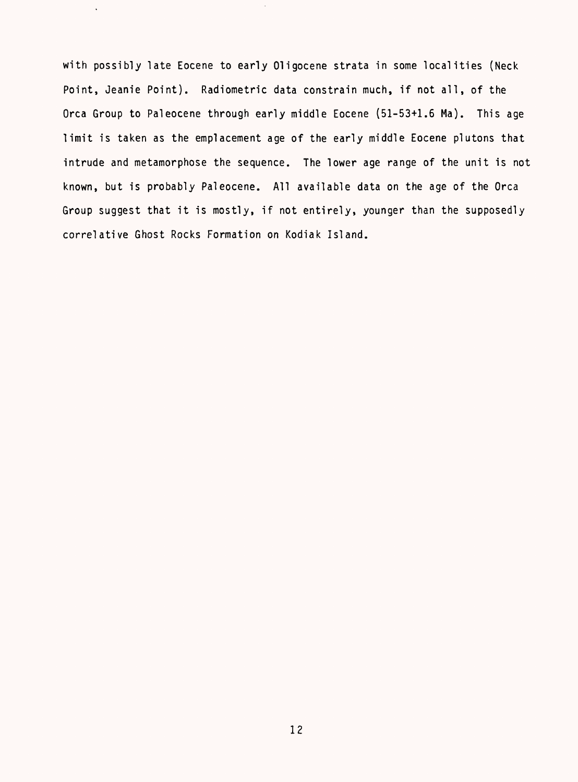with possibly late Eocene to early Oligocene strata in some localities (Neck Point, Jeanie Point). Radiometric data constrain much, if not all, of the Orca Group to Paleocene through early middle Eocene (51-53+1.6 Ma). This age limit is taken as the emplacement age of the early middle Eocene plutons that intrude and metamorphose the sequence. The lower age range of the unit is not known, but is probably Paleocene. All available data on the age of the Orca Group suggest that it is mostly, if not entirely, younger than the supposedly correlative Ghost Rocks Formation on Kodiak Island.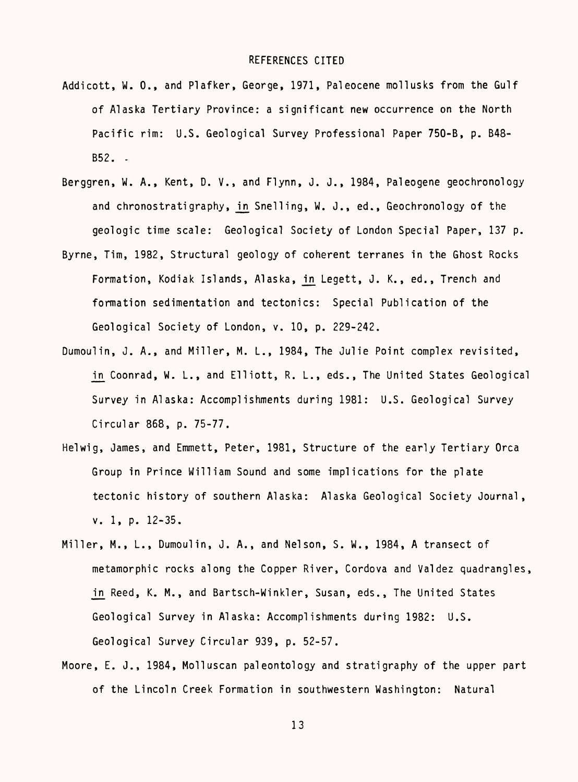#### REFERENCES CITED

- Addicott, W. 0., and Plafker, George, 1971, Paleocene mollusks from the Gulf of Alaska Tertiary Province: a significant new occurrence on the North Pacific rim: U.S. Geological Survey Professional Paper 750-B, p. B48- B52. .
- Berggren, W. A., Kent, D. V., and Flynn, J. J., 1984, Paleogene geochronology and chronostratigraphy, in Snelling, W. J., ed., Geochronology of the geologic time scale: Geological Society of London Special Paper, 137 p.
- Byrne, Tim, 1982, Structural geology of coherent terranes in the Ghost Rocks Formation, Kodiak Islands, Alaska, in Legett, J. K., ed., Trench and formation sedimentation and tectonics: Special Publication of the Geological Society of London, v. 10, p. 229-242.
- Dumoulin, J. A., and Miller, M. L., 1984, The Julie Point complex revisited, in Coonrad, W. L., and Elliott, R. L., eds., The United States Geological Survey in Alaska: Accomplishments during 1981: U.S. Geological Survey Circular 868, p. 75-77.
- Helwig, James, and Emmett, Peter, 1981, Structure of the early Tertiary Orca Group in Prince William Sound and some implications for the plate tectonic history of southern Alaska: Alaska Geological Society Journal, v. 1, p. 12-35.
- Miller, M., L., Dumoulin, J. A., and Nelson, S. W., 1984, A transect of metamorphic rocks along the Copper River, Cordova and Valdez quadrangles, in Reed, K. M., and Bartsch-Winkler, Susan, eds., The United States Geological Survey in Alaska: Accomplishments during 1982: U.S. Geological Survey Circular 939, p. 52-57.
- Moore, E. J., 1984, Molluscan paleontology and stratigraphy of the upper part of the Lincoln Creek Formation in southwestern Washington: Natural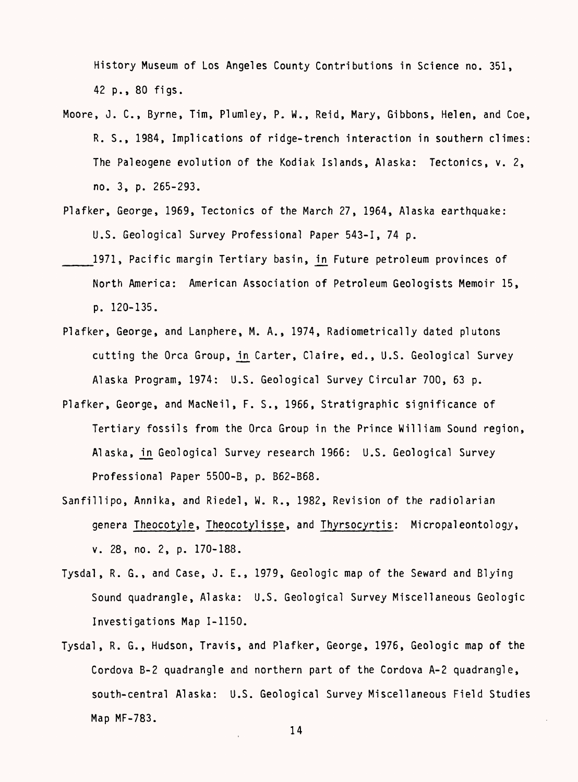History Museum of Los Angeles County Contributions in Science no. 351, 42 p., 80 figs.

- Moore, J. C., Byrne, Tim, Plumley, P. W., Reid, Mary, Gibbons, Helen, and Coe, R. S., 1984, Implications of ridge-trench interaction in southern climes: The Paleogene evolution of the Kodiak Islands, Alaska: Tectonics, v. 2, no. 3, p. 265-293.
- Plafker, George, 1969, Tectonics of the March 27, 1964, Alaska earthquake: U.S. Geological Survey Professional Paper 543-1, 74 p.
- 1971, Pacific margin Tertiary basin, in Future petroleum provinces of North America: American Association of Petroleum Geologists Memoir 15, p. 120-135.
- Plafker, George, and Lanphere, M. A., 1974, Radiometrically dated plutons cutting the Orca Group, in Carter, Claire, ed., U.S. Geological Survey Alaska Program, 1974: U.S. Geological Survey Circular 700, 63 p.
- Plafker, George, and MacNeil, F. S., 1966, Stratigraphic significance of Tertiary fossils from the Orca Group in the Prince William Sound region, Alaska, in Geological Survey research 1966: U.S. Geological Survey Professional Paper 5500-B, p. B62-B68.
- Sanfillipo, Annika, and Riedel, W. R., 1982, Revision of the radiolarian genera Theocotyle, Theocotylisse, and Thyrsocyrtis: Micropaleontology, v. 28, no. 2, p. 170-188.
- Tysdal, R. G., and Case, J. E., 1979, Geologic map of the Seward and Blying Sound quadrangle, Alaska: U.S. Geological Survey Miscellaneous Geologic Investigations Map 1-1150.
- Tysdal, R. G., Hudson, Travis, and Plafker, George, 1976, Geologic map of the Cordova B-2 quadrangle and northern part of the Cordova A-2 quadrangle, south-central Alaska: U.S. Geological Survey Miscellaneous Field Studies Map MF-783.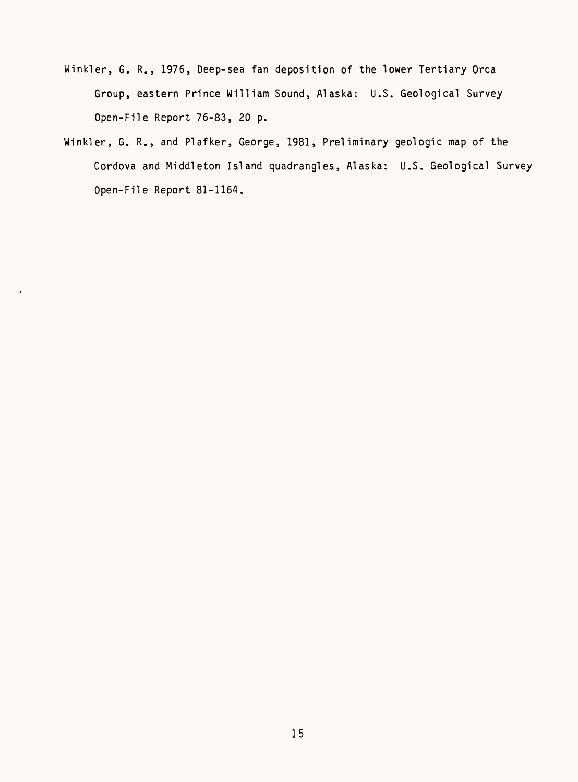- Winkler, G. R., 1976, Deep-sea fan deposition of the lower Tertiary Orca Group, eastern Prince William Sound, Alaska: U.S. Geological Survey Open-File Report 76-83, 20 p.
- Winkler, G. R., and Plafker, George, 1981, Preliminary geologic map of the Cordova and Middleton Island quadrangles, Alaska: U.S. Geological Survey Open-File Report 81-1164.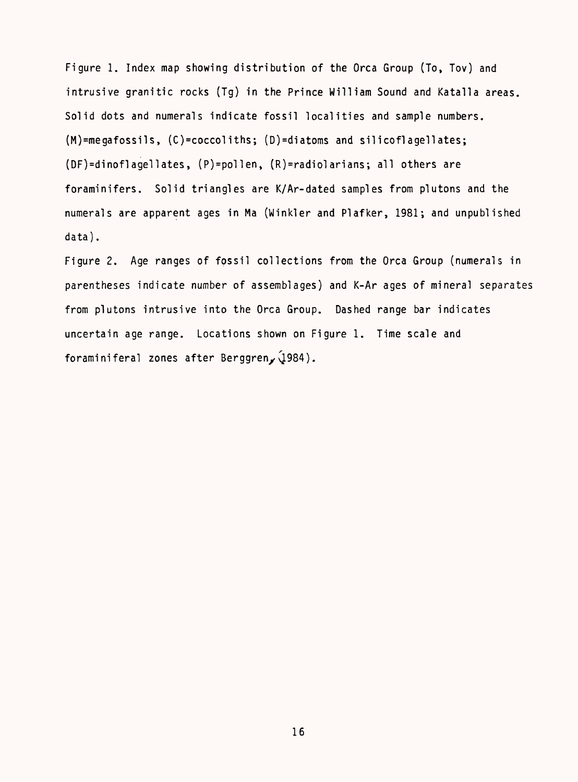Figure 1. Index map showing distribution of the Orca Group (To, Tov) and intrusive granitic rocks (Tg) in the Prince William Sound and Katalla areas. Solid dots and numerals indicate fossil localities and sample numbers. (M)=megafossils, (C)=coccoliths; (D)=diatoms and silicoflagellates; (DF)=dinoflagellates, (P)=pollen, (R)=radiolarians; all others are foraminifers. Solid triangles are K/Ar-dated samples from plutons and the numerals are apparent ages in Ma (Winkler and Plafker, 1981; and unpublished data).

Figure 2. Age ranges of fossil collections from the Orca Group (numerals in parentheses indicate number of assemblages) and K-Ar ages of mineral separates from plutons intrusive into the Orca Group. Dashed range bar indicates uncertain age range. Locations shown on Figure 1. Time scale and foraminiferal zones after BerggrenyQ.984).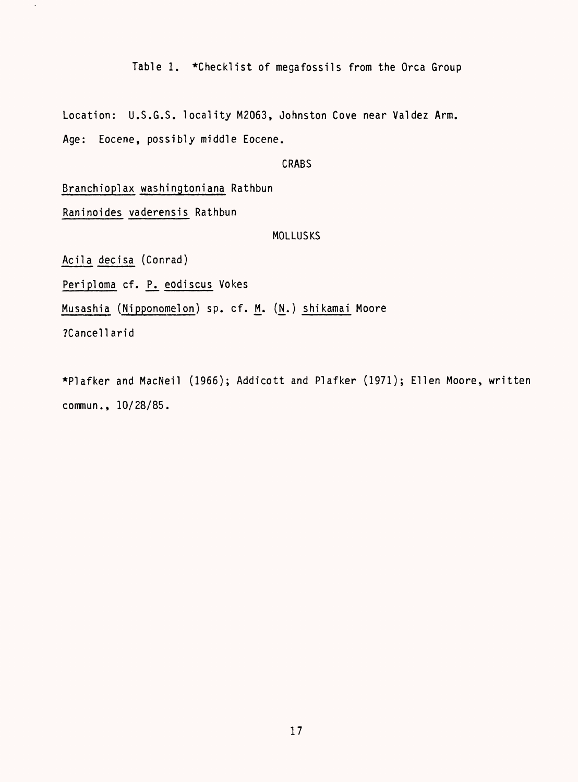Table 1. \*Checklist of megafossils from the Orca Group

Location: U.S.G.S. locality M2063, Johnston Cove near Valdez Arm. Age: Eocene, possibly middle Eocene.

# CRABS

Branchioplax washingtoniana Rathbun

Raninoides vaderensis Rathbun

#### MOLLUSKS

Acila decisa (Conrad)

Periploma cf. P. eodiscus Vokes

Musashia (Nipponomelon) sp. cf. M. (N.) shikamai Moore

?Cancellarid

 $\ddot{\phantom{1}}$ 

\*Plafker and MacNeil (1966); Addicott and Plafker (1971); Ellen Moore, written commun., 10/28/85.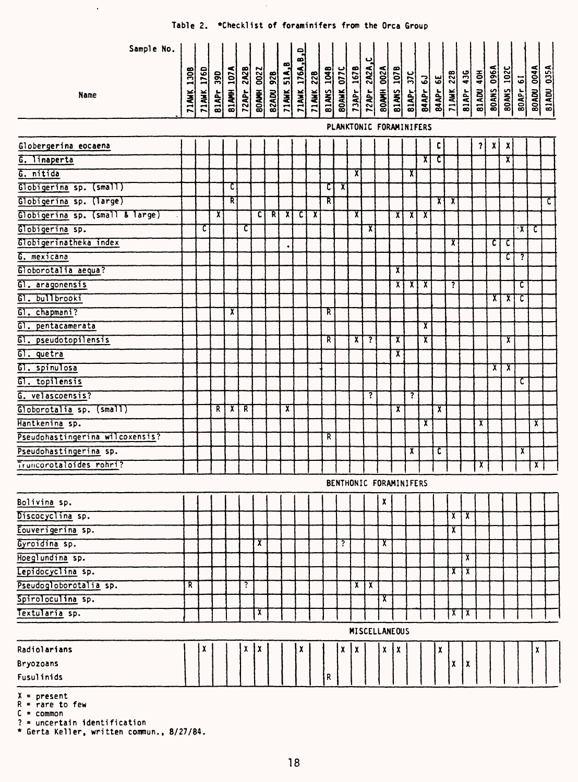| Sample No.                               |            |                |              |            |                    |                   |   |                                                |                  |            |            |                         |                |                      |                   |                                                        |                         |                         |                         |                         |                         |              |                   |                         |                         |                   |            |
|------------------------------------------|------------|----------------|--------------|------------|--------------------|-------------------|---|------------------------------------------------|------------------|------------|------------|-------------------------|----------------|----------------------|-------------------|--------------------------------------------------------|-------------------------|-------------------------|-------------------------|-------------------------|-------------------------|--------------|-------------------|-------------------------|-------------------------|-------------------|------------|
| Name                                     | 71AWK 130B | 1760<br>71 AWK | 390<br>81APr | 81AMH 107A | 72APr 2A2B         | <b>BOAMH 0022</b> |   | <b>B2ADU 92B</b><br>71 AMK 51 A <sub>2</sub> B | 71AWK 176A, B, D | 71 AWK 22B | 81ANS 104B | <b>BOAMK 077C</b>       | 73APr_167B     | 72APr 2A2A,C         | <b>80AMH 002A</b> | <b>B1ANS 107B</b><br>B1APr 37C<br>B4APr 6J<br>B4APr 6E |                         |                         |                         | <b>71 AWK 22B</b>       | 81APr 436               | 81ADU 40H    | <b>BOANS 096A</b> | <b>BOANS 102C</b>       | <b>80APr 61</b>         | <b>BOADU 004A</b> | 81ADU 035A |
|                                          |            |                |              |            |                    |                   |   |                                                |                  |            |            | PLANKTONIC FORAMINIFERS |                |                      |                   |                                                        |                         |                         |                         |                         |                         |              |                   |                         |                         |                   |            |
| Globergerina eocaena                     |            |                |              |            |                    |                   |   |                                                |                  |            |            |                         |                |                      |                   |                                                        |                         |                         | c                       |                         |                         | $\mathbf{r}$ | χļ                | $\boldsymbol{x}$        |                         |                   |            |
| G. linaperta                             |            |                |              |            |                    |                   |   |                                                |                  |            |            |                         |                |                      |                   |                                                        |                         | X                       | τ                       |                         |                         |              |                   | χ                       |                         |                   |            |
| G. nitida                                |            |                |              |            |                    |                   |   |                                                |                  |            |            |                         | X)             |                      |                   |                                                        | X                       |                         |                         |                         |                         |              |                   |                         |                         |                   |            |
| Globigerina sp. (small)                  |            |                |              | C          |                    |                   |   |                                                |                  |            | टा         | $\bar{\bm{\chi}}$       |                |                      |                   |                                                        |                         |                         |                         |                         |                         |              |                   |                         |                         |                   |            |
| Globigerina sp. (large)                  |            |                |              | R          |                    |                   |   |                                                |                  |            | R          |                         |                |                      |                   |                                                        |                         |                         | $\mathbf{x}$            | $\mathbf{x}$            |                         |              |                   |                         |                         |                   | τ          |
| Globigerina sp. (small & large)          |            |                | x            |            |                    | ้ต                | R | $\mathbf{x}$                                   | c                | x          |            |                         | X              |                      |                   | х                                                      | x                       | X                       |                         |                         |                         |              |                   |                         |                         |                   |            |
| Globigerina sp.                          |            | C              |              |            | c                  |                   |   |                                                |                  |            |            |                         |                | X                    |                   |                                                        |                         |                         |                         |                         |                         |              |                   |                         | $\overline{\mathbf{X}}$ | ᠊ᠸ                |            |
| Globigerinatheka index                   |            |                |              |            |                    |                   |   | ٠                                              |                  |            |            |                         |                |                      |                   |                                                        |                         |                         |                         | x                       |                         |              | ा                 | c                       |                         |                   |            |
| G. mexicana                              |            |                |              |            |                    |                   |   |                                                |                  |            |            |                         |                |                      |                   |                                                        |                         |                         |                         |                         |                         |              |                   | c                       | ?                       |                   |            |
| Globorotalia aequa?                      |            |                |              |            |                    |                   |   |                                                |                  |            |            |                         |                |                      |                   | x                                                      |                         |                         |                         |                         |                         |              |                   |                         |                         |                   |            |
| G1. aragonensis                          |            |                |              |            |                    |                   |   |                                                |                  |            |            |                         |                |                      |                   | Х                                                      | $\overline{\mathbf{x}}$ | $\overline{\textbf{x}}$ |                         | T                       |                         |              |                   |                         | τ                       |                   |            |
| G1. bullbrooki                           |            |                |              |            |                    |                   |   |                                                |                  |            |            |                         |                |                      |                   |                                                        |                         |                         |                         |                         |                         |              | ΧI                | x                       | τ                       |                   |            |
| G1. chapmani?                            |            |                |              | x          |                    |                   |   |                                                |                  |            | R          |                         |                |                      |                   |                                                        |                         |                         |                         |                         |                         |              |                   |                         |                         |                   |            |
| बा.<br>pentacamerata                     |            |                |              |            |                    |                   |   |                                                |                  |            |            |                         |                |                      |                   |                                                        |                         | x                       |                         |                         |                         |              |                   |                         |                         |                   |            |
| G1. pseudotopilensis                     |            |                |              |            |                    |                   |   |                                                |                  |            | R          |                         | $\mathbf{x}$   | 7                    |                   | x                                                      |                         | <u>x</u>                |                         |                         |                         |              |                   | x                       |                         |                   |            |
| G1. quetra                               |            |                |              |            |                    |                   |   |                                                |                  |            |            |                         |                |                      |                   | х                                                      |                         |                         |                         |                         |                         |              |                   |                         |                         |                   |            |
| G1. spinulosa                            |            |                |              |            |                    |                   |   |                                                |                  |            |            |                         |                |                      |                   |                                                        |                         |                         |                         |                         |                         |              | χļ                | $\overline{\mathbf{x}}$ |                         |                   |            |
| GT. topilensis                           |            |                |              |            |                    |                   |   |                                                |                  |            |            |                         |                |                      |                   |                                                        |                         |                         |                         |                         |                         |              |                   |                         | τ                       |                   |            |
| G. velascoensis?                         |            |                |              |            |                    |                   |   |                                                |                  |            |            |                         |                | ?                    |                   |                                                        | 7.                      |                         |                         |                         |                         |              |                   |                         |                         |                   |            |
| Globorotalia sp. (small)                 |            |                | R.           | $\chi$     | R                  |                   |   | X                                              |                  |            |            |                         |                |                      |                   | $\overline{\mathbf{x}}$                                |                         |                         | $\overline{\mathbf{x}}$ |                         |                         |              |                   |                         |                         |                   |            |
| Hantkenina sp.                           |            |                |              |            |                    |                   |   |                                                |                  |            |            |                         |                |                      |                   |                                                        |                         | х                       |                         |                         |                         | x            |                   |                         |                         | х                 |            |
| Pseudohastingerina wilcoxensis?          |            |                |              |            |                    |                   |   |                                                |                  |            | R          |                         |                |                      |                   |                                                        |                         |                         |                         |                         |                         |              |                   |                         |                         |                   |            |
| Pseudohastingerina sp.                   |            |                |              |            |                    |                   |   |                                                |                  |            |            |                         |                |                      |                   |                                                        | $\mathbf{x}$            |                         | C                       |                         |                         |              |                   |                         | $\mathbf{x}$            |                   |            |
| Truncorotaloides rohri?                  |            |                |              |            |                    |                   |   |                                                |                  |            |            |                         |                |                      |                   |                                                        |                         |                         |                         |                         |                         | x            |                   |                         |                         | $\mathbf{x}$      |            |
|                                          |            |                |              |            |                    |                   |   |                                                |                  |            |            | BENTHONIC FORAMINIFERS  |                |                      |                   |                                                        |                         |                         |                         |                         |                         |              |                   |                         |                         |                   |            |
| Bolivina sp.                             |            |                |              |            |                    |                   |   |                                                |                  |            |            |                         |                |                      | χ                 |                                                        |                         |                         |                         |                         |                         |              |                   |                         |                         |                   |            |
| Discocyclina sp.                         |            |                |              |            |                    |                   |   |                                                |                  |            |            |                         |                |                      |                   |                                                        |                         |                         |                         | $\overline{\mathbf{x}}$ | $\overline{\mathbf{x}}$ |              |                   |                         |                         |                   |            |
| Eouverigerina sp.                        |            |                |              |            |                    |                   |   |                                                |                  |            |            |                         |                |                      |                   |                                                        |                         |                         |                         | $\overline{\mathbf{x}}$ |                         |              |                   |                         |                         |                   |            |
| Gyroidina sp.                            |            |                |              |            |                    | x                 |   |                                                |                  |            |            | ?                       |                |                      | X                 |                                                        |                         |                         |                         |                         |                         |              |                   |                         |                         |                   |            |
| Hoeglundina sp.                          |            |                |              |            |                    |                   |   |                                                |                  |            |            |                         |                |                      |                   |                                                        |                         |                         |                         |                         | x                       |              |                   |                         |                         |                   |            |
| Lepidocyclina sp.                        |            |                |              |            |                    |                   |   |                                                |                  |            |            |                         |                |                      |                   |                                                        |                         |                         |                         | $\overline{\mathbf{x}}$ | $\overline{x}$          |              |                   |                         |                         |                   |            |
| Pseudogloborotalia sp.                   | R          |                |              |            | $\overline{\cdot}$ |                   |   |                                                |                  |            |            |                         | $\overline{X}$ | $\mathbf{X}$         |                   |                                                        |                         |                         |                         |                         |                         |              |                   |                         |                         |                   |            |
| Spiroloculina sp.                        |            |                |              |            |                    |                   |   |                                                |                  |            |            |                         |                |                      | $\mathbf{x}$      |                                                        |                         |                         |                         |                         |                         |              |                   |                         |                         |                   |            |
| Textularia sp.                           |            |                |              |            |                    | х                 |   |                                                |                  |            |            |                         |                |                      |                   |                                                        |                         |                         |                         |                         | $x \mid x$              |              |                   |                         |                         |                   |            |
|                                          |            |                |              |            |                    |                   |   |                                                |                  |            |            |                         |                | <b>MISCELLANEOUS</b> |                   |                                                        |                         |                         |                         |                         |                         |              |                   |                         |                         |                   |            |
| Radiolarians                             |            | X              |              |            | χ                  | Ix                |   |                                                | X                |            |            | X                       | χ              |                      | X.                | X                                                      |                         |                         | χ                       |                         |                         |              |                   |                         |                         | χ                 |            |
| Bryozoans                                |            |                |              |            |                    |                   |   |                                                |                  |            |            |                         |                |                      |                   |                                                        |                         |                         |                         | X                       | х                       |              |                   |                         |                         |                   |            |
| Fusulinids                               |            |                |              |            |                    |                   |   |                                                |                  |            | R          |                         |                |                      |                   |                                                        |                         |                         |                         |                         |                         |              |                   |                         |                         |                   |            |
| $X = present$<br>$D = x \cdot r \cdot r$ |            |                |              |            |                    |                   |   |                                                |                  |            |            |                         |                |                      |                   |                                                        |                         |                         |                         |                         |                         |              |                   |                         |                         |                   |            |

 $\mathcal{A}^{\pm}$ 

R = rare to few<br>C = common<br>? = uncertain identification<br>\* Gerta Keller, written commun., 8/27/84.

 $\bar{z}$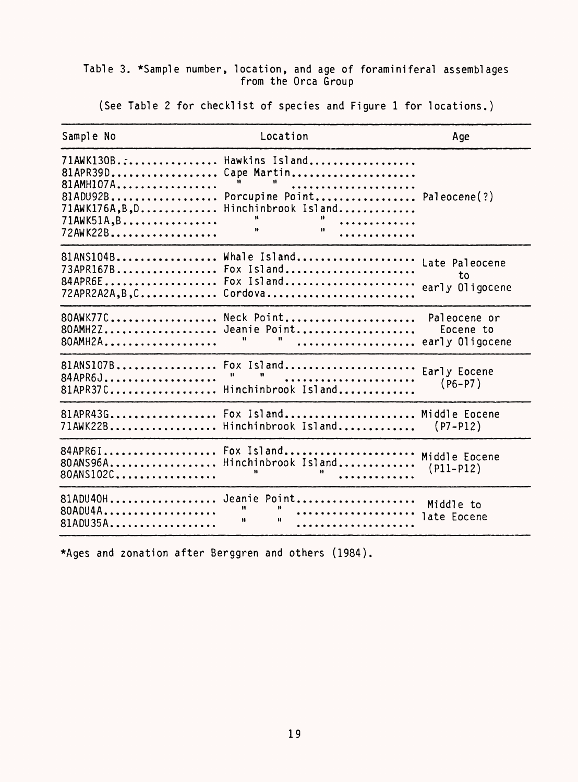# Table 3. \*Sample number, location, and age of foramini feral assemblages from the Orca Group

(See Table 2 for checklist of species and Figure 1 for locations.)

| Sample No                                                                                                                              | Location                                                                                                         | Age                                          |
|----------------------------------------------------------------------------------------------------------------------------------------|------------------------------------------------------------------------------------------------------------------|----------------------------------------------|
| 71AWK130B.:<br>81APR39D<br>81AMH107A<br>81ADU92B<br>$71AWK176A, B, D.$<br>$71AWK51A, B \ldots \ldots \ldots \ldots \ldots$<br>72AWK22B | Hawkins Island<br>Cape Martin<br><b>H</b><br>.<br>Porcupine Point Paleocene(?)<br>Hinchinbrook Island<br>.<br>88 |                                              |
| 81ANS104B<br>73APR167B<br>84APR6E<br>$72APR2A2A$ , $B$ , $C$                                                                           | Whale Island<br>Fox Island<br>Fox Island<br>Cordova                                                              | Late Paleocene<br>to<br>early Oligocene      |
| 80AWK77C<br>80AMH2Z<br>80AMH2A                                                                                                         | Neck Point<br>Jeanie Point<br>.                                                                                  | Paleocene or<br>Eocene to<br>early Oligocene |
| 81ANS107B<br>84APR6J<br>$81$ APR37C                                                                                                    | Fox Island<br>Hinchinbrook Island                                                                                | Early Eocene<br>$(P6 - P7)$                  |
| 81APR43G<br>71AWK22B                                                                                                                   | Fox Island<br>Hinchinbrook Island                                                                                | Middle Eocene<br>$( P7 - P12 )$              |
| 84APR6I<br>80ANS96A<br>80ANS102C                                                                                                       | Fox Island<br>Hinchinbrook Island                                                                                | Middle Eocene<br>$(P11-P12)$                 |
| 81ADU40H<br>80ADU4A<br>81ADU35A                                                                                                        | Jeanie Point<br>Ħ<br>8<br>$\mathbf{H}$                                                                           | Middle to<br>late Eocene                     |

\*Ages and zonation after Berggren and others (1984).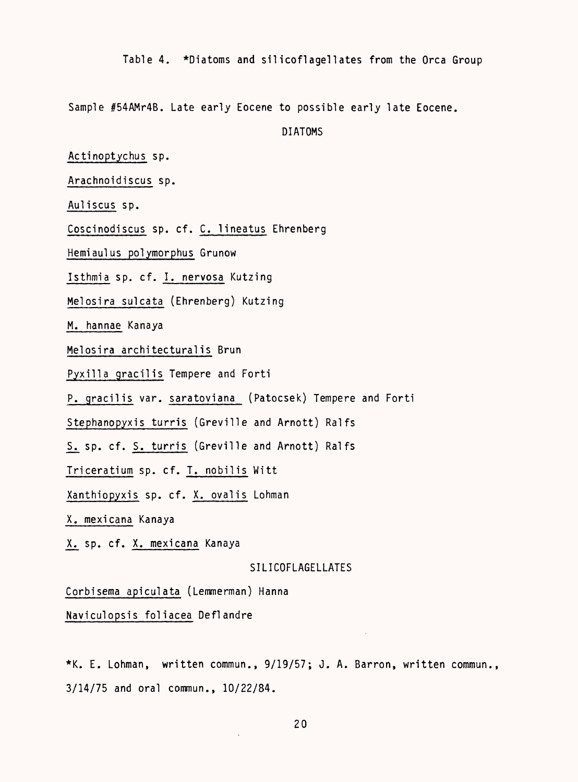Table 4. \*Diatoms and silicoflagellates from the Orca Group

Sample #54AMr4B. Late early Eocene to possible early late Eocene.

DIATOMS

Actinoptychus sp.

Arachnoidiscus sp.

Auliscus sp.

Coscinodiscus sp. cf. C. lineatus Ehrenberg

Hemiaulus polymorphus Grunow

Isthmia sp. cf. I. nervosa Kutzing

Melosira sulcata (Ehrenberg) Kutzing

M. hannae Kanaya

Melosira architectural is Brun

Pyxilla gracilis Tempere and Forti

P. gracilis var. saratoviana (Patocsek) Tempere and Forti

Stephanopyxis turris (Greville and Arnott) Ralfs

S. sp. cf. S. turris (Greville and Arnott) Ralfs

Triceratium sp. cf. T. nobilis Witt

Xanthiopyxis sp. cf. X. ovalis Lohman

X. mexicana Kanaya

X. sp. cf. X. mexicana Kanaya

#### SILICOFLAGELLATES

Corbisema apiculata (Lemmerman) Hanna

Naviculopsis foliacea Deflandre

\*K. E. Lohman, written commun., 9/19/57; J. A. Barren, written commun., 3/14/75 and oral commun., 10/22/84.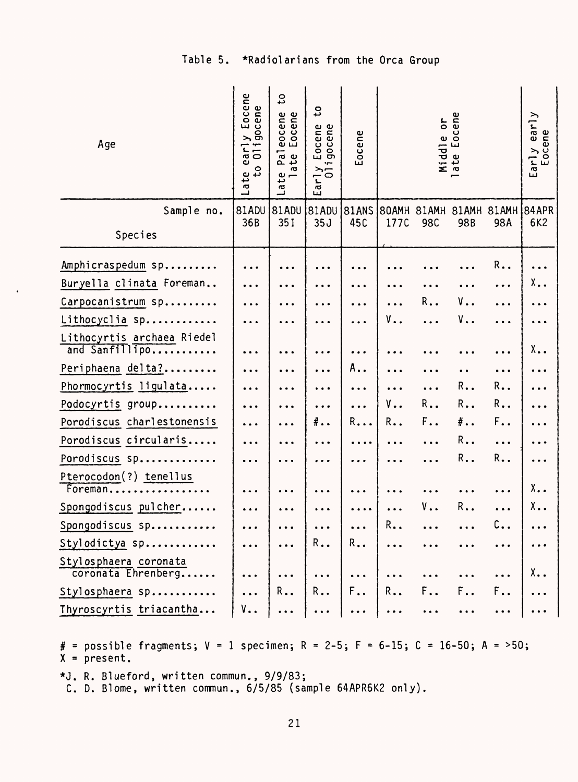Table 5. \*Radiolarians from the Orca Group

| Age                                          | Eocene<br>$\mathbf \omega$<br>gocene<br>⋋<br>$\overline{011}$<br>ar<br>$\omega$<br>۰<br>Late<br>ته | $\mathbf{c}$<br>eocene<br>Eocene<br>Pal<br>ate<br>یب<br><b>G</b> | ς<br>Eocene<br>gocene<br>ŗ<br>$\frac{1}{2}$<br>E, | Eocene                |           |            | Middle or<br>late Eocene |       | early<br>ocene<br>$\begin{array}{c}\n\text{Early} \\ \text{Eocc}\n\end{array}$ |
|----------------------------------------------|----------------------------------------------------------------------------------------------------|------------------------------------------------------------------|---------------------------------------------------|-----------------------|-----------|------------|--------------------------|-------|--------------------------------------------------------------------------------|
| Sample no.                                   | 81ADU                                                                                              | 81ADU                                                            | 81ADU                                             | 81ANS                 | 80AMH     | 81AMH      | 81AMH                    | 81AMH | 84APR                                                                          |
| Species                                      | 36B                                                                                                | 35I                                                              | 35J                                               | 45C                   | 177C      | <b>98C</b> | 98B                      | 98A   | 6K2                                                                            |
| Amphicraspedum sp                            | $\ddotsc$                                                                                          |                                                                  |                                                   |                       |           |            |                          | R.,   |                                                                                |
| Buryella clinata Foreman                     | .                                                                                                  |                                                                  | $\cdots$                                          |                       |           |            |                          |       | Χ.,                                                                            |
| Carpocanistrum sp                            | $\ddotsc$                                                                                          |                                                                  | $\cdots$                                          |                       |           | R.,        | ν                        |       |                                                                                |
| Lithocyclia sp                               | .                                                                                                  |                                                                  | $\cdots$                                          | $\ddotsc$             | ٧.,       |            | ٧.,                      |       |                                                                                |
| Lithocyrtis archaea Riedel<br>and Sanfillipo |                                                                                                    |                                                                  |                                                   |                       |           |            |                          |       | Χ.,                                                                            |
| Periphaena delta?                            | $\ddotsc$                                                                                          |                                                                  | $\ddot{\phantom{a}}$                              | А                     |           |            |                          |       |                                                                                |
| Phormocyrtis ligulata                        | $\ddotsc$                                                                                          |                                                                  | $\cdots$                                          | $\cdots$              | $\cdots$  | .          | R.,                      | R.,   |                                                                                |
| Podocyrtis group                             | .                                                                                                  |                                                                  | $\ddotsc$                                         | .                     | ٧.,       | R.,        | R.,                      | R     |                                                                                |
| Porodiscus charlestonensis                   | .                                                                                                  | $\ddot{\phantom{a}}$                                             | #                                                 | R                     | R.,       | F.,        | #                        | F.,   |                                                                                |
| Porodiscus circularis                        |                                                                                                    |                                                                  |                                                   |                       |           |            | R.,                      | .     |                                                                                |
| Porodiscus sp                                |                                                                                                    |                                                                  | $\ddotsc$                                         | $\ddot{\phantom{a}}$  | $\ddotsc$ | .          | R.,                      | R.,   |                                                                                |
| Pterocodon(?) tenellus<br>Foreman            | .                                                                                                  |                                                                  | $\cdots$                                          |                       |           |            |                          |       | Χ.,                                                                            |
| Spongodiscus pulcher                         |                                                                                                    |                                                                  | $\cdots$                                          | $\cdots$              | .         | ٧.,        | R.,                      | .     | Χ.,                                                                            |
| Spongodiscus sp                              |                                                                                                    |                                                                  |                                                   |                       | R.,       |            |                          | С.,   |                                                                                |
| Stylodictya sp                               |                                                                                                    |                                                                  | $R_{\bullet}$ .                                   | $R_{\bullet \bullet}$ |           |            |                          |       |                                                                                |
| Stylosphaera coronata<br>coronata Ehrenberg  |                                                                                                    |                                                                  |                                                   |                       |           |            |                          |       | Χ.,                                                                            |
| Stylosphaera sp                              |                                                                                                    | R.,                                                              | R.,                                               | F.,                   | R.,       | F.         |                          |       |                                                                                |
| Thyroscyrtis triacantha                      | ٧.,                                                                                                |                                                                  | $\ddotsc$                                         |                       |           |            |                          |       |                                                                                |

# = possible fragments;  $V = 1$  specimen; R = 2-5; F = 6-15; C = 16-50; A = >50;  $X = present.$ 

\*J. R. Blueford, written commun., 9/9/83;<br>C. D. Blome, written commun., 6/5/85 (sample 64APR6K2 only).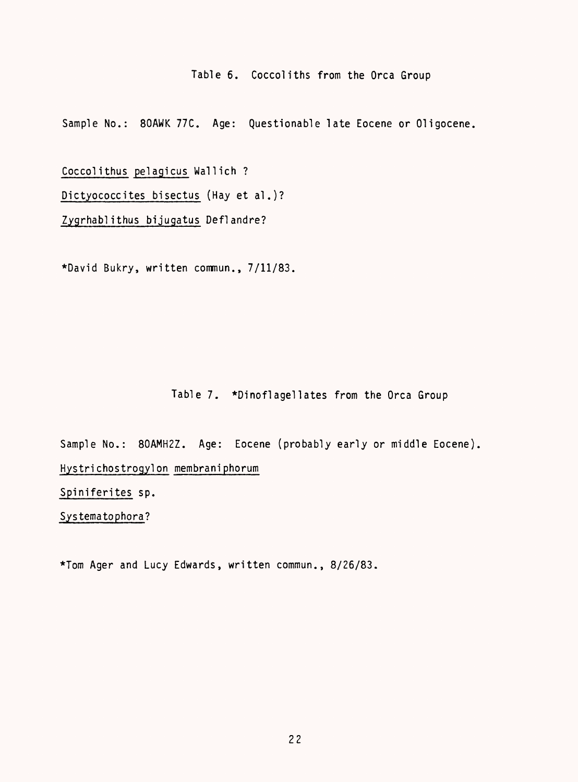Table 6. Coccoliths from the Orca Group

Sample No.: 80AWK 77C. Age: Questionable late Eocene or Oligocene.

Coccolithus pelagicus Wallich ? Dictyococcites bisectus (Hay et al.)? Zygrhabl ithus bijugatus Deflandre?

\*David Bukry, written commun., 7/11/83.

## Table 7. \*Dinoflagellates from the Orca Group

Sample No.: 80AMH2Z. Age: Eocene (probably early or middle Eocene). Hystri chostrogyl on membraniphorum

Spiniferites sp.

Systematophora?

\*Tom Ager and Lucy Edwards, written commun., 8/26/83.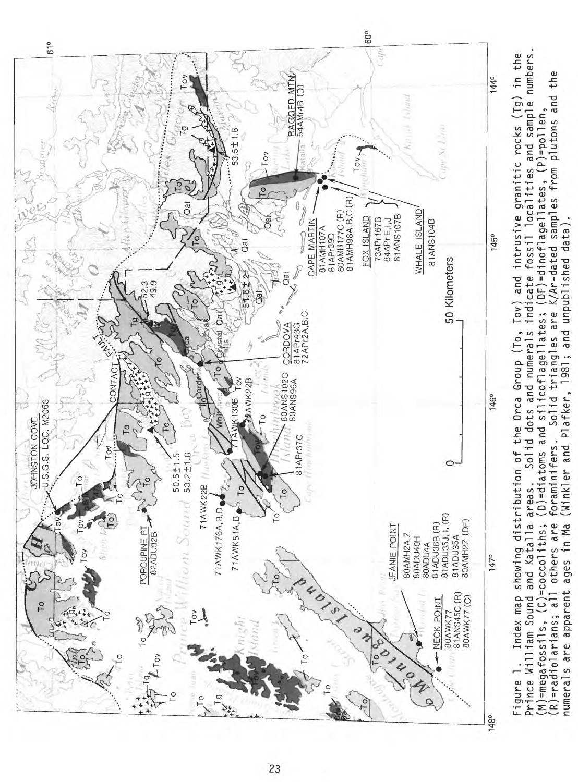

**CO**

numerals are apparent ages in Ma (Winkler and Plafker, 1981; and unpublished data). numerals are apparent ages in Ma (Winkler and Plafker, 1981; and unpublished data).